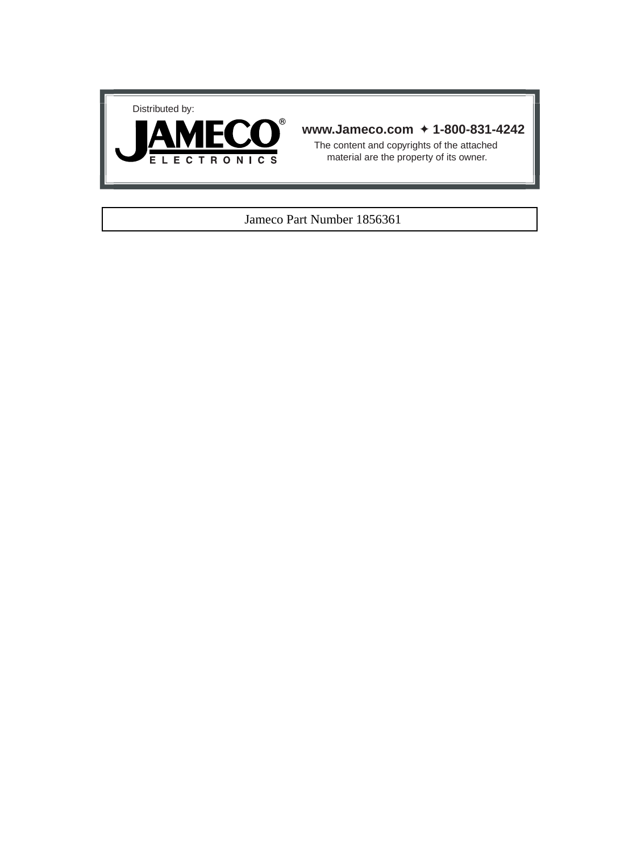



# **www.Jameco.com** ✦ **1-800-831-4242**

The content and copyrights of the attached material are the property of its owner.

## Jameco Part Number 1856361